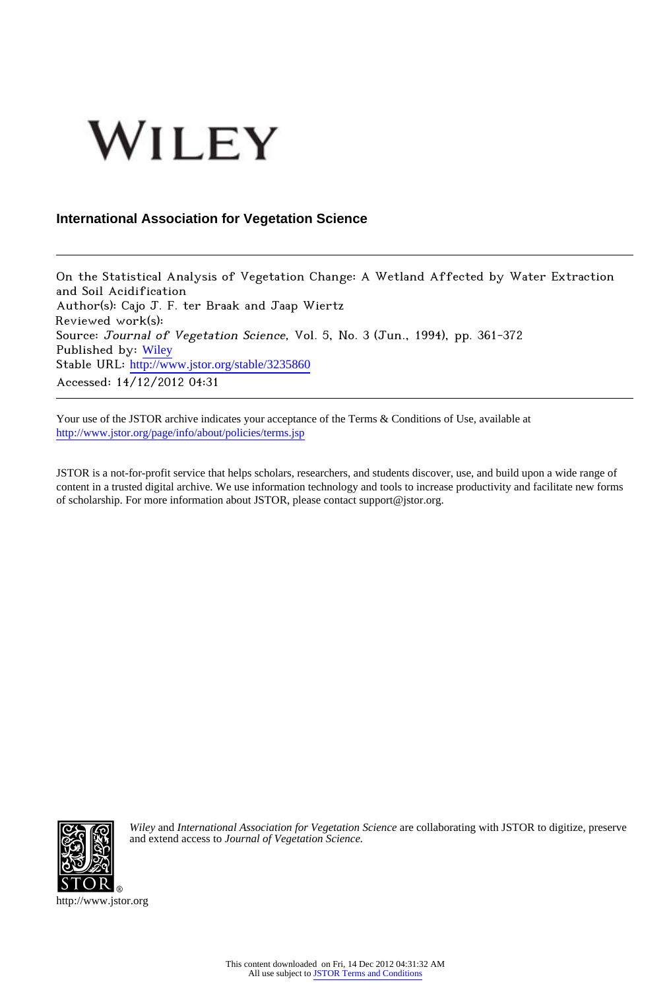# WILEY

### **International Association for Vegetation Science**

On the Statistical Analysis of Vegetation Change: A Wetland Affected by Water Extraction and Soil Acidification Author(s): Cajo J. F. ter Braak and Jaap Wiertz Reviewed work(s): Source: Journal of Vegetation Science, Vol. 5, No. 3 (Jun., 1994), pp. 361-372 Published by: [Wiley](http://www.jstor.org/action/showPublisher?publisherCode=black) Stable URL: [http://www.jstor.org/stable/3235860](http://www.jstor.org/stable/3235860?origin=JSTOR-pdf) Accessed: 14/12/2012 04:31

Your use of the JSTOR archive indicates your acceptance of the Terms & Conditions of Use, available at <http://www.jstor.org/page/info/about/policies/terms.jsp>

JSTOR is a not-for-profit service that helps scholars, researchers, and students discover, use, and build upon a wide range of content in a trusted digital archive. We use information technology and tools to increase productivity and facilitate new forms of scholarship. For more information about JSTOR, please contact support@jstor.org.



*Wiley* and *International Association for Vegetation Science* are collaborating with JSTOR to digitize, preserve and extend access to *Journal of Vegetation Science.*

http://www.jstor.org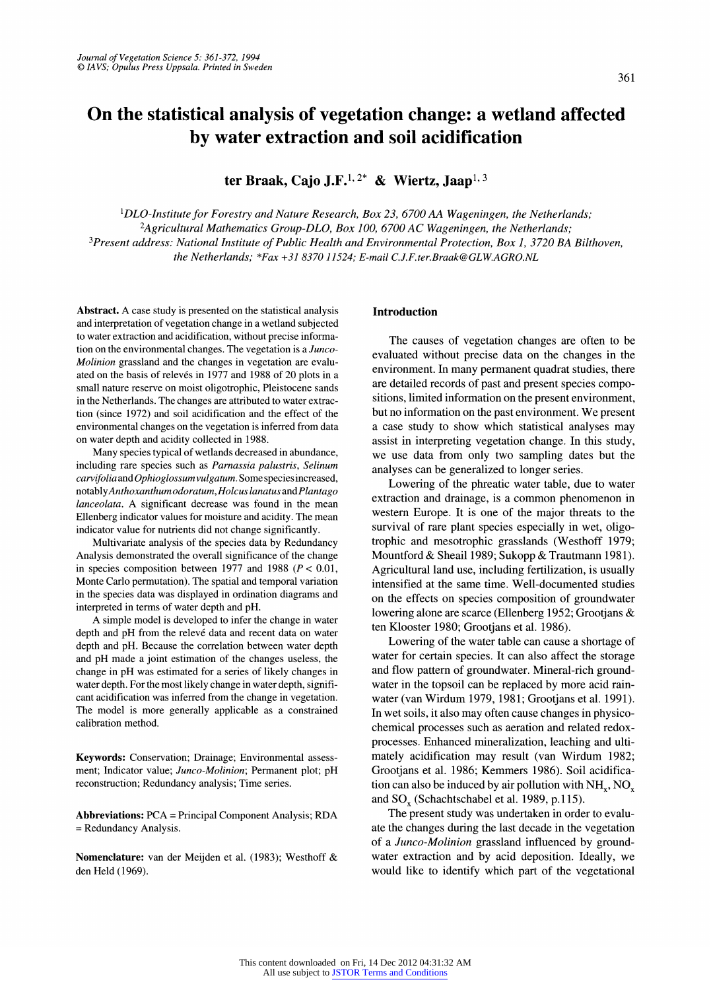## **On the statistical analysis of vegetation change: a wetland affected by water extraction and soil acidification**

 $\textbf{ter Braak}, \textbf{Cajo J.F.}^{1,2*} \& \textbf{Wiertz}, \textbf{Jaap}^{1,3}$ 

**IDLO-Institute for Forestry and Nature Research, Box 23, 6700 AA Wageningen, the Netherlands; 2Agricultural Mathematics Group-DLO, Box 100, 6700 AC Wageningen, the Netherlands; 3Present address: National Institute of Public Health and Environmental Protection, Box 1, 3720 BA Bilthoven, the Netherlands; \*Fax +31 8370 11524; E-mail C.J.F.ter.Braak@GLW.AGRO.NL** 

**Abstract. A case study is presented on the statistical analysis and interpretation of vegetation change in a wetland subjected to water extraction and acidification, without precise information on the environmental changes. The vegetation is a Junco-Molinion grassland and the changes in vegetation are evalu**ated on the basis of relevés in 1977 and 1988 of 20 plots in a **small nature reserve on moist oligotrophic, Pleistocene sands in the Netherlands. The changes are attributed to water extraction (since 1972) and soil acidification and the effect of the environmental changes on the vegetation is inferred from data on water depth and acidity collected in 1988.** 

**Many species typical of wetlands decreased in abundance, including rare species such as Parnassia palustris, Selinum carvifolia and Ophioglossum vulgatum. Some species increased, notablyAnthoxanthum odoratum, Holcus lanatus andPlantago lanceolata. A significant decrease was found in the mean Ellenberg indicator values for moisture and acidity. The mean indicator value for nutrients did not change significantly.** 

**Multivariate analysis of the species data by Redundancy Analysis demonstrated the overall significance of the change**  in species composition between 1977 and 1988 ( $P < 0.01$ , **Monte Carlo permutation). The spatial and temporal variation in the species data was displayed in ordination diagrams and interpreted in terms of water depth and pH.** 

**A simple model is developed to infer the change in water**  depth and pH from the relevé data and recent data on water **depth and pH. Because the correlation between water depth and pH made a joint estimation of the changes useless, the change in pH was estimated for a series of likely changes in water depth. For the most likely change in water depth, significant acidification was inferred from the change in vegetation. The model is more generally applicable as a constrained calibration method.** 

**Keywords: Conservation; Drainage; Environmental assessment; Indicator value; Junco-Molinion; Permanent plot; pH reconstruction; Redundancy analysis; Time series.** 

**Abbreviations: PCA = Principal Component Analysis; RDA = Redundancy Analysis.** 

**Nomenclature: van der Meijden et al. (1983); Westhoff & den Held (1969).** 

#### **Introduction**

**The causes of vegetation changes are often to be evaluated without precise data on the changes in the environment. In many permanent quadrat studies, there are detailed records of past and present species compositions, limited information on the present environment, but no information on the past environment. We present a case study to show which statistical analyses may assist in interpreting vegetation change. In this study, we use data from only two sampling dates but the analyses can be generalized to longer series.** 

**Lowering of the phreatic water table, due to water extraction and drainage, is a common phenomenon in western Europe. It is one of the major threats to the survival of rare plant species especially in wet, oligotrophic and mesotrophic grasslands (Westhoff 1979; Mountford & Sheail 1989; Sukopp & Trautmann 1981). Agricultural land use, including fertilization, is usually intensified at the same time. Well-documented studies on the effects on species composition of groundwater lowering alone are scarce (Ellenberg 1952; Grootjans & ten Klooster 1980; Grootjans et al. 1986).** 

**Lowering of the water table can cause a shortage of water for certain species. It can also affect the storage and flow pattern of groundwater. Mineral-rich groundwater in the topsoil can be replaced by more acid rainwater (van Wirdum 1979, 1981; Grootjans et al. 1991). In wet soils, it also may often cause changes in physicochemical processes such as aeration and related redoxprocesses. Enhanced mineralization, leaching and ultimately acidification may result (van Wirdum 1982; Grootjans et al. 1986; Kemmers 1986). Soil acidifica**tion can also be induced by air pollution with  $NH_x$ ,  $NO_x$ and SO<sub>x</sub> (Schachtschabel et al. 1989, p.115).

**The present study was undertaken in order to evaluate the changes during the last decade in the vegetation of a Junco-Molinion grassland influenced by groundwater extraction and by acid deposition. Ideally, we would like to identify which part of the vegetational**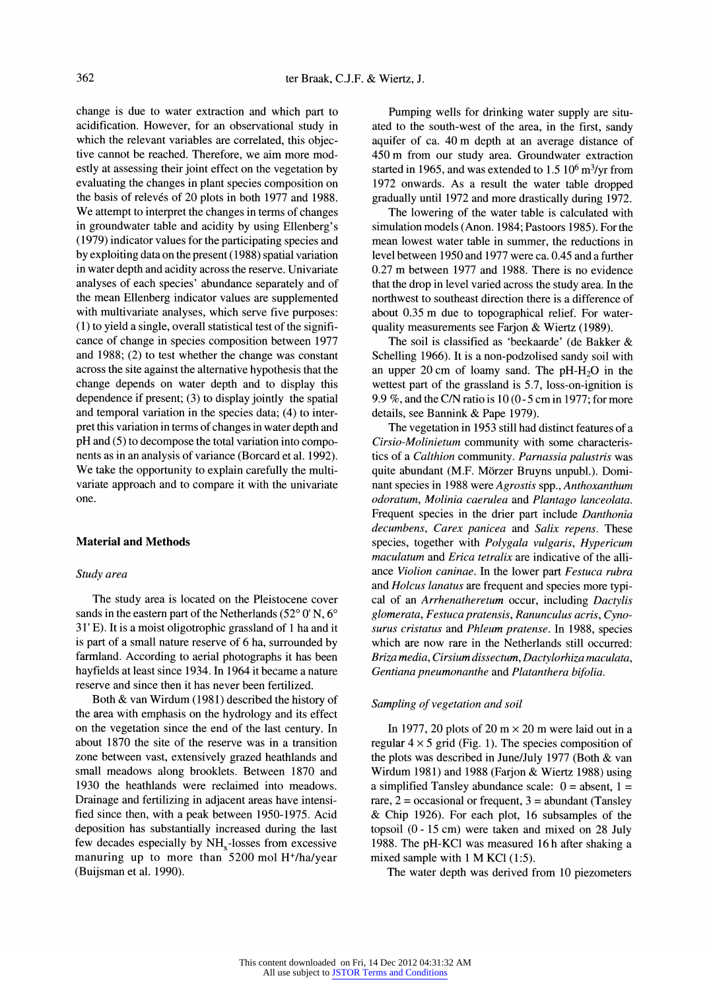**change is due to water extraction and which part to acidification. However, for an observational study in which the relevant variables are correlated, this objective cannot be reached. Therefore, we aim more modestly at assessing their joint effect on the vegetation by evaluating the changes in plant species composition on**  the basis of releves of 20 plots in both 1977 and 1988. **We attempt to interpret the changes in terms of changes in groundwater table and acidity by using Ellenberg's (1979) indicator values for the participating species and by exploiting data on the present (1988) spatial variation in water depth and acidity across the reserve. Univariate analyses of each species' abundance separately and of the mean Ellenberg indicator values are supplemented with multivariate analyses, which serve five purposes: (1) to yield a single, overall statistical test of the significance of change in species composition between 1977 and 1988; (2) to test whether the change was constant across the site against the alternative hypothesis that the change depends on water depth and to display this dependence if present; (3) to display jointly the spatial and temporal variation in the species data; (4) to interpret this variation in terms of changes in water depth and pH and (5) to decompose the total variation into components as in an analysis of variance (Borcard et al. 1992). We take the opportunity to explain carefully the multivariate approach and to compare it with the univariate one.** 

#### **Material and Methods**

#### **Study area**

**The study area is located on the Pleistocene cover**  sands in the eastern part of the Netherlands (52° 0' N, 6° **31' E). It is a moist oligotrophic grassland of 1 ha and it is part of a small nature reserve of 6 ha, surrounded by farmland. According to aerial photographs it has been hayfields at least since 1934. In 1964 it became a nature reserve and since then it has never been fertilized.** 

**Both & van Wirdum (1981) described the history of the area with emphasis on the hydrology and its effect on the vegetation since the end of the last century. In about 1870 the site of the reserve was in a transition zone between vast, extensively grazed heathlands and small meadows along brooklets. Between 1870 and 1930 the heathlands were reclaimed into meadows. Drainage and fertilizing in adjacent areas have intensified since then, with a peak between 1950-1975. Acid deposition has substantially increased during the last**  few decades especially by NH<sub>x</sub>-losses from excessive **manuring up to more than 5200 mol H+/ha/year (Buijsman et al. 1990).** 

**Pumping wells for drinking water supply are situated to the south-west of the area, in the first, sandy aquifer of ca. 40 m depth at an average distance of 450 m from our study area. Groundwater extraction started in 1965, and was extended to 1.5 106 m3/yr from 1972 onwards. As a result the water table dropped gradually until 1972 and more drastically during 1972.** 

**The lowering of the water table is calculated with simulation models (Anon. 1984; Pastoors 1985). For the mean lowest water table in summer, the reductions in level between 1950 and 1977 were ca. 0.45 and a further 0.27 m between 1977 and 1988. There is no evidence that the drop in level varied across the study area. In the northwest to southeast direction there is a difference of about 0.35 m due to topographical relief. For waterquality measurements see Farjon & Wiertz (1989).** 

**The soil is classified as 'beekaarde' (de Bakker & Schelling 1966). It is a non-podzolised sandy soil with**  an upper 20 cm of loamy sand. The pH-H<sub>2</sub>O in the **wettest part of the grassland is 5.7, loss-on-ignition is 9.9 %, and the C/N ratio is 10 (0 - 5 cm in 1977; for more details, see Bannink & Pape 1979).** 

**The vegetation in 1953 still had distinct features of a Cirsio-Molinietum community with some characteristics of a Calthion community. Parnassia palustris was**  quite abundant (M.F. Mörzer Bruyns unpubl.). Domi**nant species in 1988 were Agrostis spp., Anthoxanthum odoratum, Molinia caerulea and Plantago lanceolata. Frequent species in the drier part include Danthonia decumbens, Carex panicea and Salix repens. These species, together with Polygala vulgaris, Hypericum maculatum and Erica tetralix are indicative of the alliance Violion caninae. In the lower part Festuca rubra and Holcus lanatus are frequent and species more typical of an Arrhenatheretum occur, including Dactylis glomerata, Festuca pratensis, Ranunculus acris, Cynosurus cristatus and Phleum pratense. In 1988, species which are now rare in the Netherlands still occurred: Briza media, Cirsium dissectum, Dactylorhiza maculata, Gentiana pneumonanthe and Platanthera bifolia.** 

#### **Sampling of vegetation and soil**

In 1977, 20 plots of  $20 \text{ m} \times 20 \text{ m}$  were laid out in a regular  $4 \times 5$  grid (Fig. 1). The species composition of **the plots was described in June/July 1977 (Both & van Wirdum 1981) and 1988 (Farjon & Wiertz 1988) using a simplified Tansley abundance scale: 0 = absent, 1 = rare, 2 = occasional or frequent, 3 = abundant (Tansley & Chip 1926). For each plot, 16 subsamples of the topsoil (0- 15 cm) were taken and mixed on 28 July 1988. The pH-KCl was measured 16 h after shaking a mixed sample with 1 M KC1 (1:5).** 

**The water depth was derived from 10 piezometers**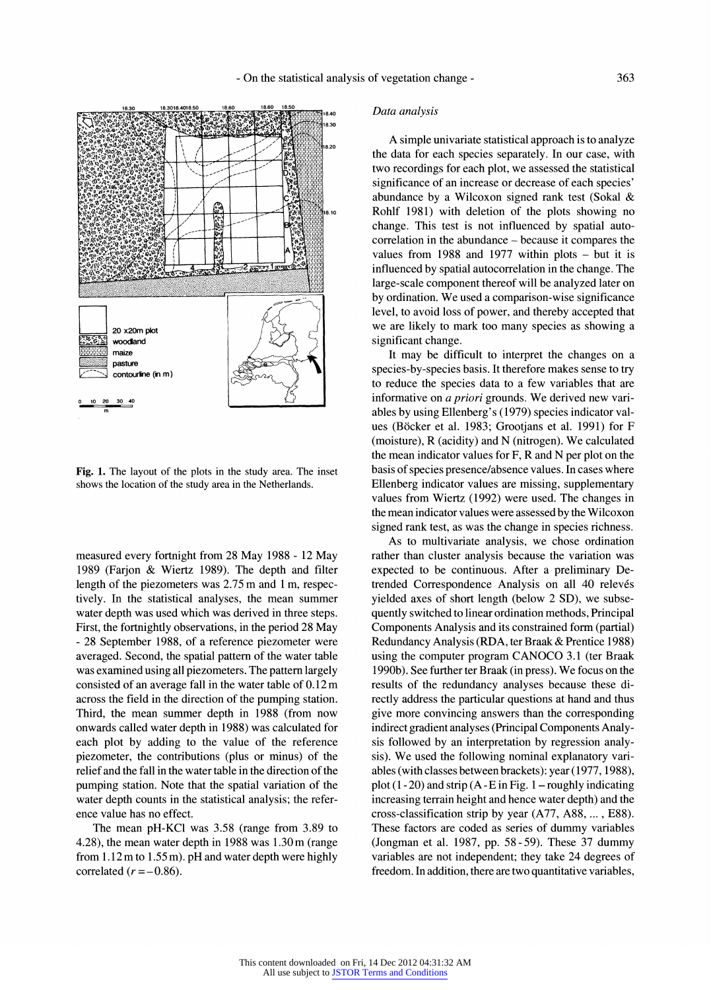

**Fig. 1. The layout of the plots in the study area. The inset shows the location of the study area in the Netherlands.** 

**measured every fortnight from 28 May 1988 - 12 May 1989 (Farjon & Wiertz 1989). The depth and filter length of the piezometers was 2.75 m and 1 m, respectively. In the statistical analyses, the mean summer water depth was used which was derived in three steps. First, the fortnightly observations, in the period 28 May - 28 September 1988, of a reference piezometer were averaged. Second, the spatial pattern of the water table was examined using all piezometers. The pattern largely consisted of an average fall in the water table of 0.12 m across the field in the direction of the pumping station. Third, the mean summer depth in 1988 (from now onwards called water depth in 1988) was calculated for each plot by adding to the value of the reference piezometer, the contributions (plus or minus) of the relief and the fall in the water table in the direction of the pumping station. Note that the spatial variation of the water depth counts in the statistical analysis; the reference value has no effect.** 

**The mean pH-KCl was 3.58 (range from 3.89 to 4.28), the mean water depth in 1988 was 1.30m (range from 1.12m to 1.55 m). pH and water depth were highly**  correlated  $(r = -0.86)$ .

#### **Data analysis**

**A simple univariate statistical approach is to analyze the data for each species separately. In our case, with two recordings for each plot, we assessed the statistical significance of an increase or decrease of each species' abundance by a Wilcoxon signed rank test (Sokal & Rohlf 1981) with deletion of the plots showing no change. This test is not influenced by spatial autocorrelation in the abundance - because it compares the values from 1988 and 1977 within plots - but it is influenced by spatial autocorrelation in the change. The large-scale component thereof will be analyzed later on by ordination. We used a comparison-wise significance level, to avoid loss of power, and thereby accepted that we are likely to mark too many species as showing a significant change.** 

**It may be difficult to interpret the changes on a species-by-species basis. It therefore makes sense to try to reduce the species data to a few variables that are informative on a priori grounds. We derived new variables by using Ellenberg's (1979) species indicator values (Bocker et al. 1983; Grootjans et al. 1991) for F (moisture), R (acidity) and N (nitrogen). We calculated the mean indicator values for F, R and N per plot on the basis of species presence/absence values. In cases where Ellenberg indicator values are missing, supplementary values from Wiertz (1992) were used. The changes in the mean indicator values were assessed by the Wilcoxon signed rank test, as was the change in species richness.** 

**As to multivariate analysis, we chose ordination rather than cluster analysis because the variation was expected to be continuous. After a preliminary De**trended Correspondence Analysis on all 40 relevés **yielded axes of short length (below 2 SD), we subsequently switched to linear ordination methods, Principal Components Analysis and its constrained form (partial) Redundancy Analysis (RDA, ter Braak & Prentice 1988) using the computer program CANOCO 3.1 (ter Braak 1990b). See further ter Braak (in press). We focus on the results of the redundancy analyses because these directly address the particular questions at hand and thus give more convincing answers than the corresponding indirect gradient analyses (Principal Components Analysis followed by an interpretation by regression analysis). We used the following nominal explanatory variables (with classes between brackets): year (1977, 1988), plot (1 - 20) and strip (A- E in Fig. 1 - roughly indicating increasing terrain height and hence water depth) and the cross-classification strip by year (A77, A88, ..., E88). These factors are coded as series of dummy variables (Jongman et al. 1987, pp. 58-59). These 37 dummy variables are not independent; they take 24 degrees of freedom. In addition, there are two quantitative variables,**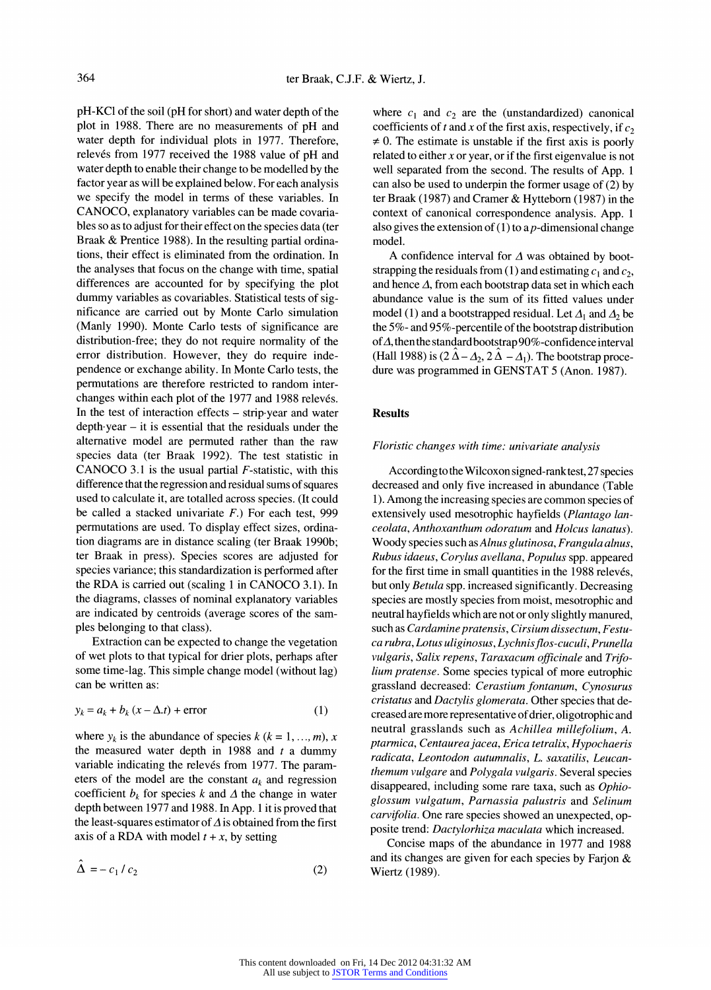**pH-KCl of the soil (pH for short) and water depth of the plot in 1988. There are no measurements of pH and water depth for individual plots in 1977. Therefore,**  relevés from 1977 received the 1988 value of pH and **water depth to enable their change to be modelled by the factor year as will be explained below. For each analysis we specify the model in terms of these variables. In CANOCO, explanatory variables can be made covariables so as to adjust for their effect on the species data (ter Braak & Prentice 1988). In the resulting partial ordinations, their effect is eliminated from the ordination. In the analyses that focus on the change with time, spatial differences are accounted for by specifying the plot dummy variables as covariables. Statistical tests of significance are carried out by Monte Carlo simulation (Manly 1990). Monte Carlo tests of significance are distribution-free; they do not require normality of the error distribution. However, they do require independence or exchange ability. In Monte Carlo tests, the permutations are therefore restricted to random inter**changes within each plot of the 1977 and 1988 relevés. In the test of interaction effects – strip year and water **depth-year - it is essential that the residuals under the alternative model are permuted rather than the raw species data (ter Braak 1992). The test statistic in CANOCO 3.1 is the usual partial F-statistic, with this difference that the regression and residual sums of squares used to calculate it, are totalled across species. (It could be called a stacked univariate F.) For each test, 999 permutations are used. To display effect sizes, ordination diagrams are in distance scaling (ter Braak 1990b; ter Braak in press). Species scores are adjusted for species variance; this standardization is performed after the RDA is carried out (scaling 1 in CANOCO 3.1). In the diagrams, classes of nominal explanatory variables are indicated by centroids (average scores of the samples belonging to that class).** 

**Extraction can be expected to change the vegetation of wet plots to that typical for drier plots, perhaps after some time-lag. This simple change model (without lag) can be written as:** 

$$
y_k = a_k + b_k (x - \Delta.t) + error
$$
 (1)

where  $y_k$  is the abundance of species  $k$  ( $k = 1, ..., m$ ), x **the measured water depth in 1988 and t a dummy**  variable indicating the relevés from 1977. The parameters of the model are the constant  $a_k$  and regression coefficient  $b_k$  for species k and  $\Delta$  the change in water **depth between 1977 and 1988. In App. 1 it is proved that the least-squares estimator of A is obtained from the first**  axis of a RDA with model  $t + x$ , by setting

$$
\Delta = -c_1/c_2 \tag{2}
$$

where  $c_1$  and  $c_2$  are the (unstandardized) canonical coefficients of t and x of the first axis, respectively, if  $c_2$  $\neq$  0. The estimate is unstable if the first axis is poorly **related to either x or year, or if the first eigenvalue is not well separated from the second. The results of App. 1 can also be used to underpin the former usage of (2) by ter Braak (1987) and Cramer & Hytteborn (1987) in the context of canonical correspondence analysis. App. 1 also gives the extension of (1) to ap-dimensional change model.** 

A confidence interval for  $\Delta$  was obtained by bootstrapping the residuals from (1) and estimating  $c_1$  and  $c_2$ , **and hence A, from each bootstrap data set in which each abundance value is the sum of its fitted values under**  model (1) and a bootstrapped residual. Let  $\Delta_1$  and  $\Delta_2$  be **the 5%- and 95%-percentile of the bootstrap distribution of A, then the standardbootstrap 90%-confidence interval**  (Hall 1988) is  $(2 \Delta - \Delta_2, 2 \Delta - \Delta_1)$ . The bootstrap proce**dure was programmed in GENSTAT 5 (Anon. 1987).** 

#### **Results**

#### **Floristic changes with time: univariate analysis**

**According to the Wilcoxon signed-ranktest, 27 species decreased and only five increased in abundance (Table 1). Among the increasing species are common species of extensively used mesotrophic hayfields (Plantago lanceolata, Anthoxanthum odoratum and Holcus lanatus). Woody species such as Alnus glutinosa, Frangula alnus, Rubus idaeus, Corylus avellana, Populus spp. appeared**  for the first time in small quantities in the 1988 relevés, **but only Betula spp. increased significantly. Decreasing species are mostly species from moist, mesotrophic and neutral hayfields which are not or only slightly manured,**  such as *Cardamine pratensis*, *Cirsium dissectum*, *Festu***ca rubra, Lotus uliginosus, Lychnisflos-cuculi, Prunella vulgaris, Salix repens, Taraxacum officinale and Trifolium pratense. Some species typical of more eutrophic grassland decreased: Cerastium fontanum, Cynosurus cristatus and Dactylis glomerata. Other species that decreased are more representative of drier, oligotrophic and neutral grasslands such as Achillea millefolium, A. ptarmica, Centaureajacea, Erica tetralix, Hypochaeris radicata, Leontodon autumnalis, L. saxatilis, Leucanthemum vulgare and Polygala vulgaris. Several species disappeared, including some rare taxa, such as Ophioglossum vulgatum, Parnassia palustris and Selinum carvifolia. One rare species showed an unexpected, opposite trend: Dactylorhiza maculata which increased.** 

**Concise maps of the abundance in 1977 and 1988 and its changes are given for each species by Farjon & Wiertz (1989).**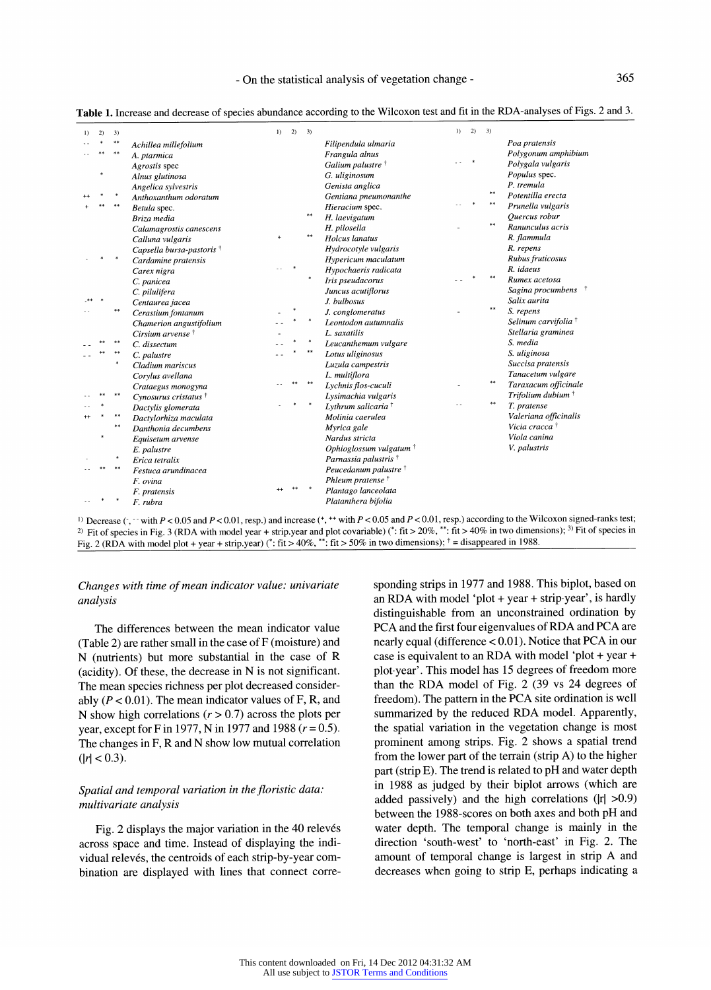| 2) | 3) |                           | $\mathbf{I}$ | 2) | 3) |                       | 1) | 2) | 3)   |                                 |
|----|----|---------------------------|--------------|----|----|-----------------------|----|----|------|---------------------------------|
|    |    | Achillea millefolium      |              |    |    | Filipendula ulmaria   |    |    |      | Poa pratensis                   |
|    |    | A. ptarmica               |              |    |    | Frangula alnus        |    |    |      | Polygonum amphibium             |
|    |    | Agrostis spec             |              |    |    | Galium palustre †     |    |    |      | Polygala vulgaris               |
|    |    | Alnus glutinosa           |              |    |    | G. uliginosum         |    |    |      | Populus spec.                   |
|    |    | Angelica sylvestris       |              |    |    | Genista anglica       |    |    |      | P. tremula                      |
|    |    | Anthoxanthum odoratum     |              |    |    | Gentiana pneumonanthe |    |    | **   | Potentilla erecta               |
|    |    | Betula spec.              |              |    |    | Hieracium spec.       |    |    | **   | Prunella vulgaris               |
|    |    | Briza media               |              |    | 米米 | H. laevigatum         |    |    |      | Ouercus robur                   |
|    |    | Calamagrostis canescens   |              |    |    | H. pilosella          |    |    | $**$ | Ranunculus acris                |
|    |    | Calluna vulgaris          | $\ddot{}$    |    | ** | Holcus lanatus        |    |    |      | R. flammula                     |
|    |    | Capsella bursa-pastoris † |              |    |    | Hydrocotyle vulgaris  |    |    |      | R. repens                       |
|    |    | Cardamine pratensis       |              |    |    | Hypericum maculatum   |    |    |      | Rubus fruticosus                |
|    |    | Carex nigra               |              |    |    | Hypochaeris radicata  |    |    |      | R. idaeus                       |
|    |    | C. panicea                |              |    |    | Iris pseudacorus      |    |    | **   | Rumex acetosa                   |
|    |    | C. pilulifera             |              |    |    | Juncus acutiflorus    |    |    |      | Sagina procumbens               |
|    |    | Centaurea jacea           |              |    |    | J. bulbosus           |    |    |      | Salix aurita                    |
|    |    | Cerastium fontanum        |              |    |    | J. conglomeratus      |    |    | 麻痺   | S. repens                       |
|    |    | Chamerion angustifolium   |              |    |    | Leontodon autumnalis  |    |    |      | Selinum carvifolia <sup>†</sup> |
|    |    | Cirsium arvense †         |              |    |    | L. saxatilis          |    |    |      | Stellaria graminea              |
|    |    | C. dissectum              |              |    |    | Leucanthemum vulgare  |    |    |      | S. media                        |
|    |    | C. palustre               |              |    |    | Lotus uliginosus      |    |    |      | S. uliginosa                    |
|    |    | Cladium mariscus          |              |    |    | Luzula campestris     |    |    |      | Succisa pratensis               |
|    |    | Corylus avellana          |              |    |    | L. multiflora         |    |    |      | Tanacetum vulgare               |

**Table 1. Increase and decrease of species abundance according to the Wilcoxon test and fit in the RDA-analyses of Figs. 2 and 3.** 

<sup>1)</sup> Decrease ( $\cdot$ ,  $\cdot$  with  $P < 0.05$  and  $P < 0.01$ , resp.) and increase ( $\cdot$ ,  $\cdot$ + with  $P < 0.05$  and  $P < 0.01$ , resp.) according to the Wilcoxon signed-ranks test; **2) Fit of species in Fig. 3 (RDA with model year + strip.year and plot covariable) (\*: fit > 20%, \*\*: fit > 40% in two dimensions); 3) Fit of species in**  Fig. 2 (RDA with model plot + year + strip.year) (\*: fit > 40%, \*\*: fit > 50% in two dimensions); <sup>†</sup> = disappeared in 1988.

**Lychnis flos-cuculi Lysimachia vulgaris Lythrum salicaria t Molinia caerulea Myrica gale Nardus stricta Ophioglossum vulgatum t**   $Parnassia$  palustris **Peucedanum palustre t Phleum pratense** <sup>†</sup> **++ \*\* \* Plantago lanceolata Platanthera bifolia** 

#### **Changes with time of mean indicator value: univariate analysis**

**1)** 2) 3)

 $\ddotsc$  $\ddot{\ast}$  $\ddot{\phantom{1}}$ 

**--** 

**--** 

**..** 

**Crataegus monogyna** 

Cynosurus cristatus <sup>†</sup>

**\*\* \*\* Festuca arundinacea** 

**F. ovina F. pratensis**   $F. rubra$ 

*Dactylis glomerata* **++ \* \*\* Dactylorhiza maculata \*\* Danthonia decumbens \* Equisetum arvense E. palustre \* Erica tetralix** 

**The differences between the mean indicator value (Table 2) are rather small in the case of F (moisture) and N (nutrients) but more substantial in the case of R (acidity). Of these, the decrease in N is not significant. The mean species richness per plot decreased considerably (P < 0.01). The mean indicator values of F, R, and N** show high correlations  $(r > 0.7)$  across the plots per **year, except for F in 1977, N in 1977 and 1988 (r = 0.5). The changes in F, R and N show low mutual correlation**   $(|r| < 0.3)$ .

#### Spatial and temporal variation in the floristic data: **multivariate analysis**

Fig. 2 displays the major variation in the 40 relevés **across space and time. Instead of displaying the indi**vidual relevés, the centroids of each strip-by-year com**bination are displayed with lines that connect corre-** **sponding strips in 1977 and 1988. This biplot, based on an RDA with model 'plot + year + strip.year', is hardly distinguishable from an unconstrained ordination by PCA and the first four eigenvalues of RDA and PCA are nearly equal (difference < 0.01). Notice that PCA in our case is equivalent to an RDA with model 'plot + year + plot-year'. This model has 15 degrees of freedom more than the RDA model of Fig. 2 (39 vs 24 degrees of freedom). The pattern in the PCA site ordination is well summarized by the reduced RDA model. Apparently, the spatial variation in the vegetation change is most prominent among strips. Fig. 2 shows a spatial trend from the lower part of the terrain (strip A) to the higher part (strip E). The trend is related to pH and water depth in 1988 as judged by their biplot arrows (which are**  added passively) and the high correlations (|r| >0.9) **between the 1988-scores on both axes and both pH and water depth. The temporal change is mainly in the direction 'south-west' to 'north-east' in Fig. 2. The amount of temporal change is largest in strip A and decreases when going to strip E, perhaps indicating a** 

**\*\* Taraxacum officinale Trifolium dubium t \*\* T. pratense Valeriana officinalis Vicia cracca t Viola canina V. palustris**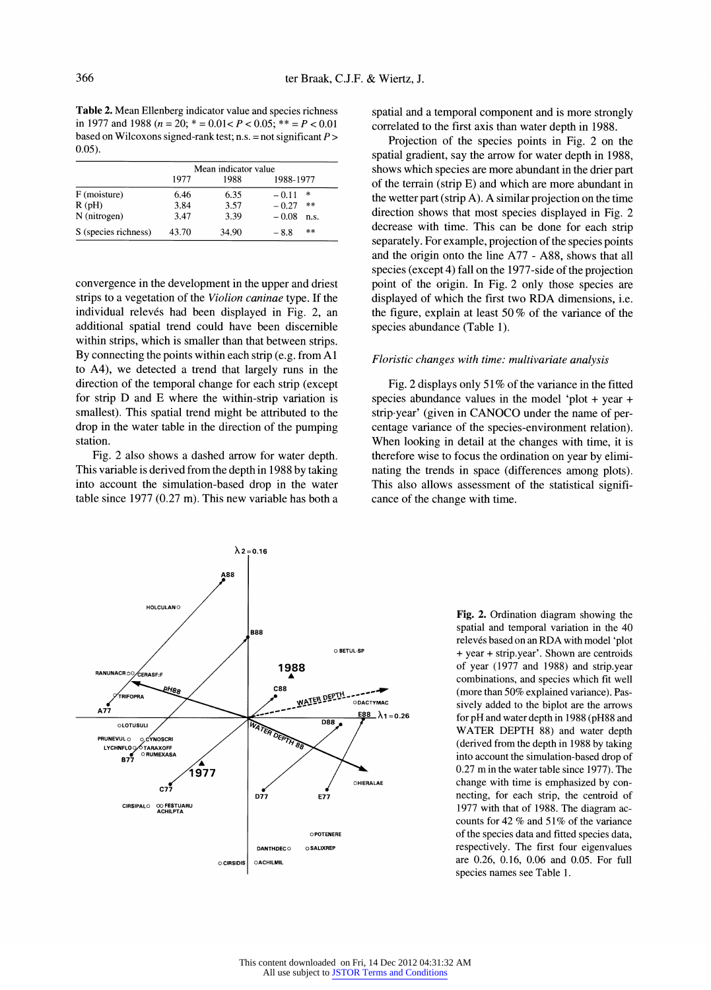**Table 2. Mean Ellenberg indicator value and species richness**  in 1977 and 1988 ( $n = 20$ ;  $* = 0.01 < P < 0.05$ ;  $** = P < 0.01$ **based on Wilcoxons signed-rank test; n.s. = not significant P > 0.05).** 

|                      | Mean indicator value |       |           |        |  |  |  |
|----------------------|----------------------|-------|-----------|--------|--|--|--|
|                      | 1977                 | 1988  | 1988-1977 |        |  |  |  |
| F (moisture)         | 6.46                 | 6.35  | $-0.11$   | $\ast$ |  |  |  |
| R(pH)                | 3.84                 | 3.57  | $-0.27$   | $**$   |  |  |  |
| N (nitrogen)         | 3.47                 | 3.39  | $-0.08$   | n.s.   |  |  |  |
| S (species richness) | 43.70                | 34.90 | $-8.8$    | $**$   |  |  |  |

**convergence in the development in the upper and driest strips to a vegetation of the Violion caninae type. If the**  individual relevés had been displayed in Fig. 2, an **additional spatial trend could have been discernible within strips, which is smaller than that between strips. By connecting the points within each strip (e.g. from Al to A4), we detected a trend that largely runs in the direction of the temporal change for each strip (except for strip D and E where the within-strip variation is smallest). This spatial trend might be attributed to the drop in the water table in the direction of the pumping station.** 

**Fig. 2 also shows a dashed arrow for water depth. This variable is derived from the depth in 1988 by taking into account the simulation-based drop in the water table since 1977 (0.27 m). This new variable has both a**  **spatial and a temporal component and is more strongly correlated to the first axis than water depth in 1988.** 

**Projection of the species points in Fig. 2 on the spatial gradient, say the arrow for water depth in 1988, shows which species are more abundant in the drier part of the terrain (strip E) and which are more abundant in the wetter part (strip A). A similar projection on the time direction shows that most species displayed in Fig. 2 decrease with time. This can be done for each strip separately. For example, projection of the species points and the origin onto the line A77 - A88, shows that all species (except 4) fall on the 1977-side of the projection point of the origin. In Fig. 2 only those species are displayed of which the first two RDA dimensions, i.e. the figure, explain at least 50 % of the variance of the species abundance (Table 1).** 

#### **Floristic changes with time: multivariate analysis**

**Fig. 2 displays only 51% of the variance in the fitted species abundance values in the model 'plot + year + strip-year' (given in CANOCO under the name of percentage variance of the species-environment relation). When looking in detail at the changes with time, it is therefore wise to focus the ordination on year by eliminating the trends in space (differences among plots). This also allows assessment of the statistical significance of the change with time.** 



**Fig. 2. Ordination diagram showing the spatial and temporal variation in the 40**  relevés based on an RDA with model 'plot **+ year + strip.year'. Shown are centroids of year (1977 and 1988) and strip.year combinations, and species which fit well (more than 50% explained variance). Passively added to the biplot are the arrows**   $\frac{688}{7}$   $\lambda$ 1=0.26 **for pH** and water depth in 1988 (pH88 and **WATER DEPTH 88) and water depth (derived from the depth in 1988 by taking into account the simulation-based drop of 0.27 m in the water table since 1977). The change with time is emphasized by connecting, for each strip, the centroid of 1977 with that of 1988. The diagram accounts for 42 % and 51% of the variance of the species data and fitted species data, respectively. The first four eigenvalues are 0.26, 0.16, 0.06 and 0.05. For full species names see Table 1.**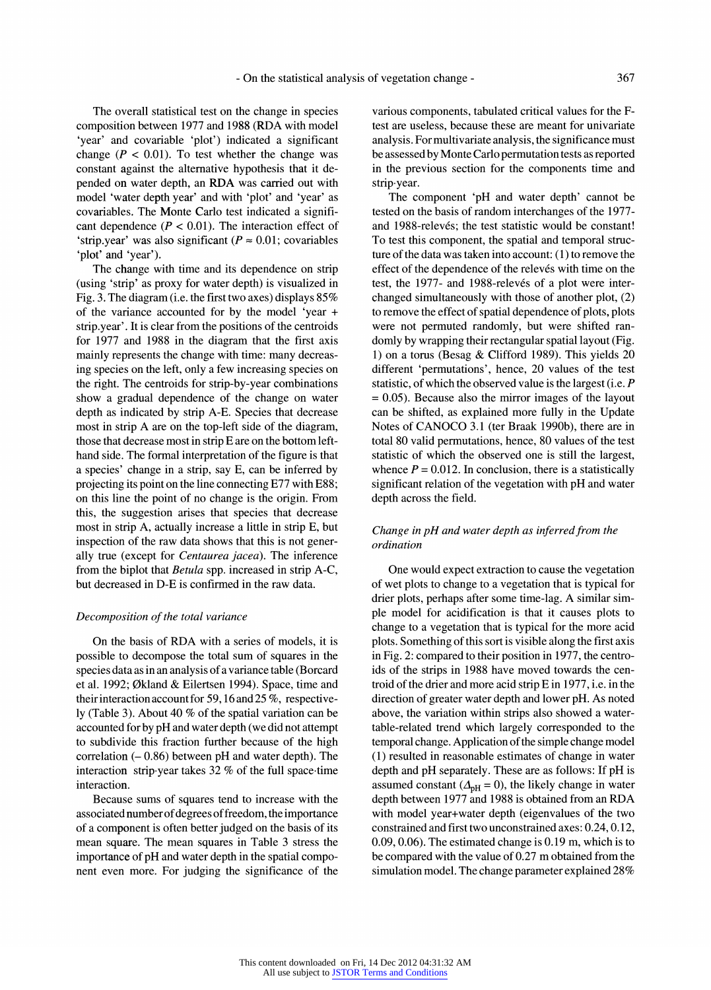**The overall statistical test on the change in species composition between 1977 and 1988 (RDA with model 'year' and covariable 'plot') indicated a significant**  change  $(P < 0.01)$ . To test whether the change was **constant against the alternative hypothesis that it depended on water depth, an RDA was carried out with model 'water depth year' and with 'plot' and 'year' as covariables. The Monte Carlo test indicated a signifi**cant dependence  $(P < 0.01)$ . The interaction effect of 'strip.year' was also significant ( $P \approx 0.01$ ; covariables **'plot' and 'year').** 

**The change with time and its dependence on strip (using 'strip' as proxy for water depth) is visualized in Fig. 3. The diagram (i.e. the first two axes) displays 85% of the variance accounted for by the model 'year + strip.year'. It is clear from the positions of the centroids for 1977 and 1988 in the diagram that the first axis mainly represents the change with time: many decreasing species on the left, only a few increasing species on the right. The centroids for strip-by-year combinations show a gradual dependence of the change on water depth as indicated by strip A-E. Species that decrease most in strip A are on the top-left side of the diagram, those that decrease most in strip E are on the bottom lefthand side. The formal interpretation of the figure is that a species' change in a strip, say E, can be inferred by projecting its point on the line connecting E77 with E88; on this line the point of no change is the origin. From this, the suggestion arises that species that decrease most in strip A, actually increase a little in strip E, but inspection of the raw data shows that this is not generally true (except for Centaurea jacea). The inference from the biplot that Betula spp. increased in strip A-C, but decreased in D-E is confirmed in the raw data.** 

#### **Decomposition of the total variance**

**On the basis of RDA with a series of models, it is possible to decompose the total sum of squares in the species data as in an analysis of a variance table (Borcard et al. 1992; 0kland & Eilertsen 1994). Space, time and theirinteraction account for 59,16 and 25 %, respectively (Table 3). About 40 % of the spatial variation can be accounted for by pH and water depth (we did not attempt to subdivide this fraction further because of the high correlation (- 0.86) between pH and water depth). The interaction strip-year takes 32 % of the full space-time interaction.** 

**Because sums of squares tend to increase with the associated number of degrees of freedom, the importance of a component is often better judged on the basis of its mean square. The mean squares in Table 3 stress the importance of pH and water depth in the spatial component even more. For judging the significance of the**  **various components, tabulated critical values for the Ftest are useless, because these are meant for univariate analysis. For multivariate analysis, the significance must be assessed by Monte Carlo permutation tests as reported in the previous section for the components time and strip-year.** 

**The component 'pH and water depth' cannot be tested on the basis of random interchanges of the 1977**  and 1988-relevés; the test statistic would be constant! **To test this component, the spatial and temporal structure of the data was taken into account: (1) to remove the**  effect of the dependence of the relevés with time on the test, the 1977- and 1988-relevés of a plot were inter**changed simultaneously with those of another plot, (2) to remove the effect of spatial dependence of plots, plots were not permuted randomly, but were shifted randomly by wrapping their rectangular spatial layout (Fig. 1) on a torus (Besag & Clifford 1989). This yields 20 different 'permutations', hence, 20 values of the test statistic, of which the observed value is the largest (i.e. P = 0.05). Because also the mirror images of the layout can be shifted, as explained more fully in the Update Notes of CANOCO 3.1 (ter Braak 1990b), there are in total 80 valid permutations, hence, 80 values of the test statistic of which the observed one is still the largest,**  whence  $P = 0.012$ . In conclusion, there is a statistically **significant relation of the vegetation with pH and water depth across the field.** 

#### **Change in pH and water depth as inferred from the ordination**

**One would expect extraction to cause the vegetation of wet plots to change to a vegetation that is typical for drier plots, perhaps after some time-lag. A similar simple model for acidification is that it causes plots to change to a vegetation that is typical for the more acid plots. Something of this sort is visible along the first axis in Fig. 2: compared to their position in 1977, the centroids of the strips in 1988 have moved towards the centroid of the drier and more acid strip E in 1977, i.e. in the direction of greater water depth and lower pH. As noted above, the variation within strips also showed a watertable-related trend which largely corresponded to the temporal change. Application of the simple change model (1) resulted in reasonable estimates of change in water depth and pH separately. These are as follows: If pH is assumed constant**  $(A_{pH} = 0)$ , the likely change in water **depth between 1977 and 1988 is obtained from an RDA with model year+water depth (eigenvalues of the two constrained and first two unconstrained axes: 0.24,0.12, 0.09, 0.06). The estimated change is 0.19 m, which is to be compared with the value of 0.27 m obtained from the simulation model. The change parameter explained 28%**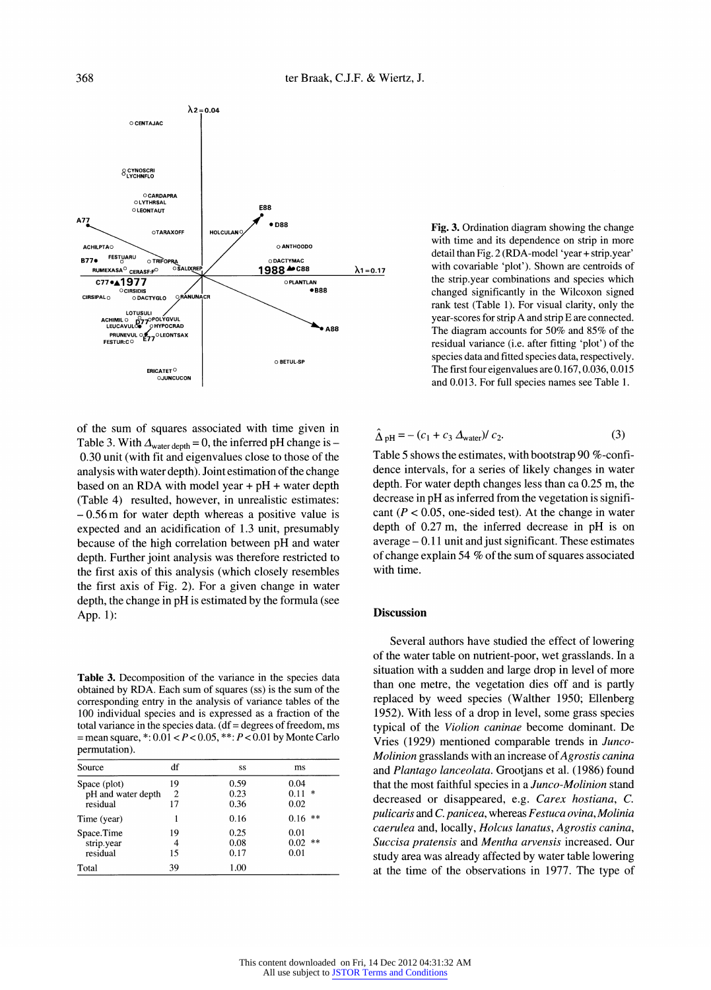

**of the sum of squares associated with time given in**  Table 3. With  $\Delta_{\text{water depth}} = 0$ , the inferred pH change is – **0.30 unit (with fit and eigenvalues close to those of the analysis with water depth). Joint estimation of the change based on an RDA with model year + pH + water depth (Table 4) resulted, however, in unrealistic estimates: -0.56 m for water depth whereas a positive value is expected and an acidification of 1.3 unit, presumably because of the high correlation between pH and water depth. Further joint analysis was therefore restricted to the first axis of this analysis (which closely resembles the first axis of Fig. 2). For a given change in water depth, the change in pH is estimated by the formula (see App. 1):** 

**Table 3. Decomposition of the variance in the species data obtained by RDA. Each sum of squares (ss) is the sum of the corresponding entry in the analysis of variance tables of the 100 individual species and is expressed as a fraction of the total variance in the species data. (df = degrees of freedom, ms = mean square, \*: 0.01 < P < 0.05, \*\*: P < 0.01 by Monte Carlo permutation).** 

| Source                                         | df            | SS                   | ms                         |
|------------------------------------------------|---------------|----------------------|----------------------------|
| Space (plot)<br>pH and water depth<br>residual | 19<br>2<br>17 | 0.59<br>0.23<br>0.36 | 0.04<br>0.11<br>*<br>0.02  |
| Time (year)                                    |               | 0.16                 | $***$<br>0.16              |
| Space.Time<br>strip.year<br>residual           | 19<br>4<br>15 | 0.25<br>0.08<br>0.17 | 0.01<br>**<br>0.02<br>0.01 |
| Total                                          | 39            | 1.00                 |                            |

**Fig. 3. Ordination diagram showing the change with time and its dependence on strip in more detail than Fig. 2 (RDA-model 'year + strip.year' with covariable 'plot'). Shown are centroids of the strip.year combinations and species which changed significantly in the Wilcoxon signed rank test (Table 1). For visual clarity, only the year-scores for strip A and strip E are connected. The diagram accounts for 50% and 85% of the residual variance (i.e. after fitting 'plot') of the species data and fitted species data, respectively. The first four eigenvalues are 0.167, 0.036,0.015 and 0.013. For full species names see Table 1.** 

$$
\hat{\Delta}_{\text{pH}} = -\left(c_1 + c_3 \Delta_{\text{water}}\right) / c_2. \tag{3}
$$

**Table 5 shows the estimates, with bootstrap 90 %-confidence intervals, for a series of likely changes in water depth. For water depth changes less than ca 0.25 m, the decrease in pH as inferred from the vegetation is significant (P < 0.05, one-sided test). At the change in water depth of 0.27 m, the inferred decrease in pH is on average - 0.11 unit and just significant. These estimates of change explain 54 % of the sum of squares associated with time.** 

#### **Discussion**

**Several authors have studied the effect of lowering of the water table on nutrient-poor, wet grasslands. In a situation with a sudden and large drop in level of more than one metre, the vegetation dies off and is partly replaced by weed species (Walther 1950; Ellenberg 1952). With less of a drop in level, some grass species typical of the Violion caninae become dominant. De Vries (1929) mentioned comparable trends in Junco-Molinion grasslands with an increase of Agrostis canina and Plantago lanceolata. Grootjans et al. (1986) found that the most faithful species in a Junco-Molinion stand decreased or disappeared, e.g. Carex hostiana, C. pulicaris and C. panicea, whereas Festuca ovina, Molinia caerulea and, locally, Holcus lanatus, Agrostis canina, Succisa pratensis and Mentha arvensis increased. Our study area was already affected by water table lowering at the time of the observations in 1977. The type of**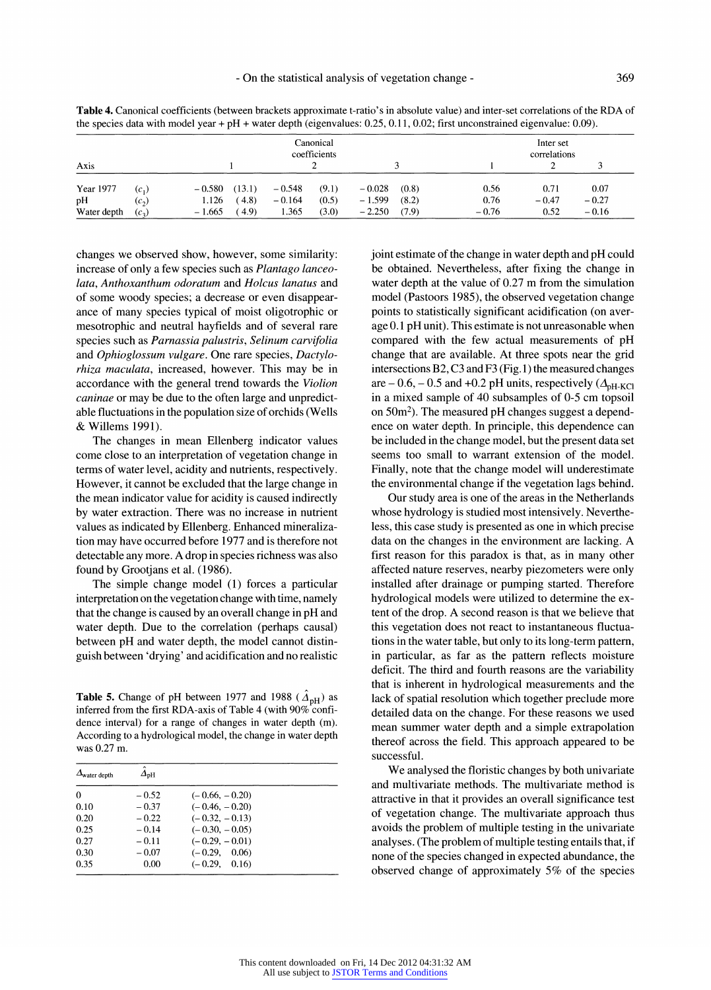|             |                   |          |        |          | Canonical<br>coefficients |          |       |         | Inter set<br>correlations |         |
|-------------|-------------------|----------|--------|----------|---------------------------|----------|-------|---------|---------------------------|---------|
| Axis        |                   |          |        |          |                           |          |       |         |                           |         |
| Year 1977   | $(c_1)$           | $-0.580$ | (13.1) | $-0.548$ | (9.1)                     | $-0.028$ | (0.8) | 0.56    | 0.71                      | 0.07    |
| pH          | (c <sub>2</sub> ) | 1.126    | (4.8)  | $-0.164$ | (0.5)                     | $-1.599$ | (8.2) | 0.76    | $-0.47$                   | $-0.27$ |
| Water depth | $(c_3)$           | $-1.665$ | (4.9)  | 1.365    | (3.0)                     | $-2.250$ | (7.9) | $-0.76$ | 0.52                      | $-0.16$ |

**Table 4. Canonical coefficients (between brackets approximate t-ratio's in absolute value) and inter-set correlations of the RDA of the species data with model year + pH + water depth (eigenvalues: 0.25, 0.11, 0.02; first unconstrained eigenvalue: 0.09).** 

**changes we observed show, however, some similarity: increase of only a few species such as Plantago lanceolata, Anthoxanthum odoratum and Holcus lanatus and of some woody species; a decrease or even disappearance of many species typical of moist oligotrophic or mesotrophic and neutral hayfields and of several rare species such as Parnassia palustris, Selinum carvifolia and Ophioglossum vulgare. One rare species, Dactylorhiza maculata, increased, however. This may be in accordance with the general trend towards the Violion caninae or may be due to the often large and unpredictable fluctuations in the population size of orchids (Wells & Willems 1991).** 

**The changes in mean Ellenberg indicator values come close to an interpretation of vegetation change in terms of water level, acidity and nutrients, respectively. However, it cannot be excluded that the large change in the mean indicator value for acidity is caused indirectly by water extraction. There was no increase in nutrient values as indicated by Ellenberg. Enhanced mineralization may have occurred before 1977 and is therefore not detectable any more. A drop in species richness was also found by Grootjans et al. (1986).** 

**The simple change model (1) forces a particular interpretation on the vegetation change with time, namely that the change is caused by an overall change in pH and water depth. Due to the correlation (perhaps causal) between pH and water depth, the model cannot distinguish between 'drying' and acidification and no realistic** 

**Table 5.** Change of pH between 1977 and 1988 ( $\tilde{\Delta}_{\text{pH}}$ ) as **inferred from the first RDA-axis of Table 4 (with 90% confidence interval) for a range of changes in water depth (m). According to a hydrological model, the change in water depth was 0.27 m.** 

| $\Delta_{\text{water depth}}$ | $\varDelta_{\textrm{pH}}$ |                    |
|-------------------------------|---------------------------|--------------------|
| $\Omega$                      | $-0.52$                   | $(-0.66, -0.20)$   |
| 0.10                          | $-0.37$                   | $(-0.46, -0.20)$   |
| 0.20                          | $-0.22$                   | $(-0.32, -0.13)$   |
| 0.25                          | $-0.14$                   | $(-0.30, -0.05)$   |
| 0.27                          | $-0.11$                   | $(-0.29, -0.01)$   |
| 0.30                          | $-0.07$                   | $(-0.29,$<br>0.06) |
| 0.35                          | 0.00                      | $(-0.29, 0.16)$    |

**joint estimate of the change in water depth and pH could be obtained. Nevertheless, after fixing the change in water depth at the value of 0.27 m from the simulation model (Pastoors 1985), the observed vegetation change points to statistically significant acidification (on average 0.1 pH unit). This estimate is not unreasonable when compared with the few actual measurements of pH change that are available. At three spots near the grid intersections B2, C3 and F3 (Fig. 1) the measured changes**  are  $-0.6, -0.5$  and  $+0.2$  pH units, respectively  $(A<sub>pH-KCI</sub>)$ **in a mixed sample of 40 subsamples of 0-5 cm topsoil on 50m2). The measured pH changes suggest a dependence on water depth. In principle, this dependence can be included in the change model, but the present data set seems too small to warrant extension of the model. Finally, note that the change model will underestimate the environmental change if the vegetation lags behind.** 

**Our study area is one of the areas in the Netherlands whose hydrology is studied most intensively. Nevertheless, this case study is presented as one in which precise data on the changes in the environment are lacking. A first reason for this paradox is that, as in many other affected nature reserves, nearby piezometers were only installed after drainage or pumping started. Therefore hydrological models were utilized to determine the extent of the drop. A second reason is that we believe that this vegetation does not react to instantaneous fluctuations in the water table, but only to its long-term pattern, in particular, as far as the pattern reflects moisture deficit. The third and fourth reasons are the variability that is inherent in hydrological measurements and the lack of spatial resolution which together preclude more detailed data on the change. For these reasons we used mean summer water depth and a simple extrapolation thereof across the field. This approach appeared to be successful.** 

**We analysed the floristic changes by both univariate and multivariate methods. The multivariate method is attractive in that it provides an overall significance test of vegetation change. The multivariate approach thus avoids the problem of multiple testing in the univariate analyses. (The problem of multiple testing entails that, if none of the species changed in expected abundance, the observed change of approximately 5% of the species**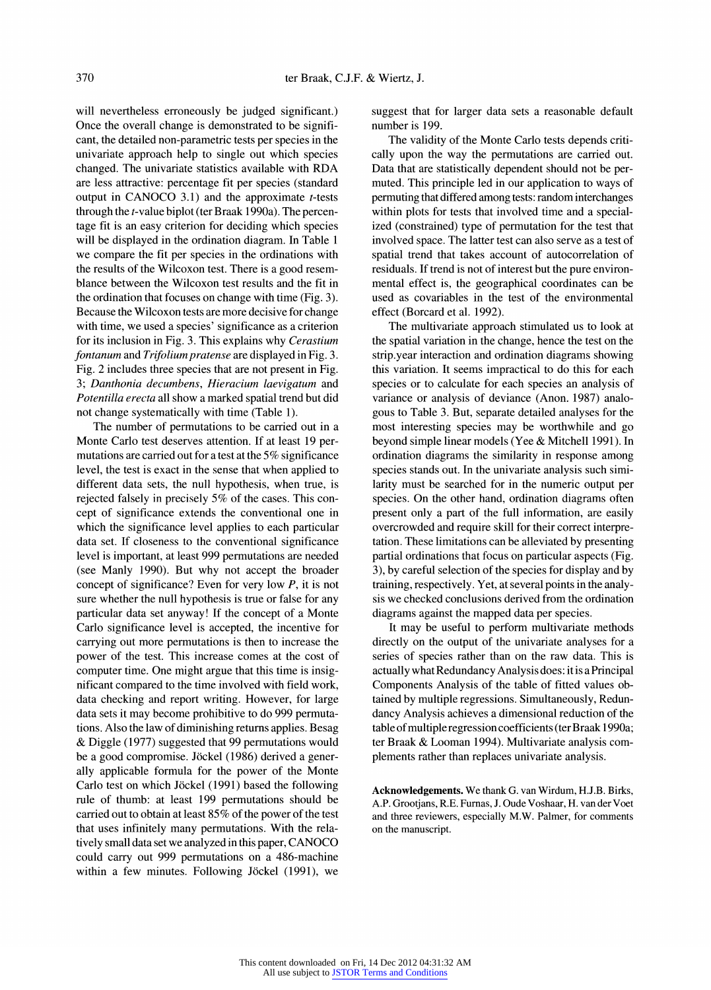**will nevertheless erroneously be judged significant.) Once the overall change is demonstrated to be significant, the detailed non-parametric tests per species in the univariate approach help to single out which species changed. The univariate statistics available with RDA are less attractive: percentage fit per species (standard output in CANOCO 3.1) and the approximate t-tests through the t-value biplot (ter Braak 1990a). The percentage fit is an easy criterion for deciding which species will be displayed in the ordination diagram. In Table 1 we compare the fit per species in the ordinations with the results of the Wilcoxon test. There is a good resemblance between the Wilcoxon test results and the fit in the ordination that focuses on change with time (Fig. 3). Because the Wilcoxon tests are more decisive for change with time, we used a species' significance as a criterion for its inclusion in Fig. 3. This explains why Cerastium fontanum and Trifolium pratense are displayed in Fig. 3. Fig. 2 includes three species that are not present in Fig. 3; Danthonia decumbens, Hieracium laevigatum and Potentilla erecta all show a marked spatial trend but did not change systematically with time (Table 1).** 

**The number of permutations to be carried out in a Monte Carlo test deserves attention. If at least 19 permutations are carried out for a test at the 5% significance level, the test is exact in the sense that when applied to different data sets, the null hypothesis, when true, is rejected falsely in precisely 5% of the cases. This concept of significance extends the conventional one in which the significance level applies to each particular data set. If closeness to the conventional significance level is important, at least 999 permutations are needed (see Manly 1990). But why not accept the broader concept of significance? Even for very low P, it is not sure whether the null hypothesis is true or false for any particular data set anyway! If the concept of a Monte Carlo significance level is accepted, the incentive for carrying out more permutations is then to increase the power of the test. This increase comes at the cost of computer time. One might argue that this time is insignificant compared to the time involved with field work, data checking and report writing. However, for large data sets it may become prohibitive to do 999 permutations. Also the law of diminishing returns applies. Besag & Diggle (1977) suggested that 99 permutations would**  be a good compromise. Jöckel (1986) derived a gener**ally applicable formula for the power of the Monte**  Carlo test on which Jöckel (1991) based the following **rule of thumb: at least 199 permutations should be carried out to obtain at least 85% of the power of the test that uses infinitely many permutations. With the relatively small data set we analyzed in this paper, CANOCO could carry out 999 permutations on a 486-machine within a few minutes. Following Jockel (1991), we**  **suggest that for larger data sets a reasonable default number is 199.** 

**The validity of the Monte Carlo tests depends critically upon the way the permutations are carried out. Data that are statistically dependent should not be permuted. This principle led in our application to ways of permuting that differed among tests: random interchanges within plots for tests that involved time and a specialized (constrained) type of permutation for the test that involved space. The latter test can also serve as a test of spatial trend that takes account of autocorrelation of residuals. If trend is not of interest but the pure environmental effect is, the geographical coordinates can be used as covariables in the test of the environmental effect (Borcard et al. 1992).** 

**The multivariate approach stimulated us to look at the spatial variation in the change, hence the test on the strip.year interaction and ordination diagrams showing this variation. It seems impractical to do this for each species or to calculate for each species an analysis of variance or analysis of deviance (Anon. 1987) analogous to Table 3. But, separate detailed analyses for the most interesting species may be worthwhile and go beyond simple linear models (Yee & Mitchell 1991). In ordination diagrams the similarity in response among species stands out. In the univariate analysis such similarity must be searched for in the numeric output per species. On the other hand, ordination diagrams often present only a part of the full information, are easily overcrowded and require skill for their correct interpretation. These limitations can be alleviated by presenting partial ordinations that focus on particular aspects (Fig. 3), by careful selection of the species for display and by training, respectively. Yet, at several points in the analysis we checked conclusions derived from the ordination diagrams against the mapped data per species.** 

**It may be useful to perform multivariate methods directly on the output of the univariate analyses for a series of species rather than on the raw data. This is actually what Redundancy Analysis does: it is a Principal Components Analysis of the table of fitted values obtained by multiple regressions. Simultaneously, Redundancy Analysis achieves a dimensional reduction of the table of multiple regression coefficients (ter Braak 1990a; ter Braak & Looman 1994). Multivariate analysis complements rather than replaces univariate analysis.** 

**Acknowledgements. We thank G. van Wirdum, H.J.B. Birks, A.P. Grootjans, R.E. Fumas, J. Oude Voshaar, H. van der Voet and three reviewers, especially M.W. Palmer, for comments on the manuscript.**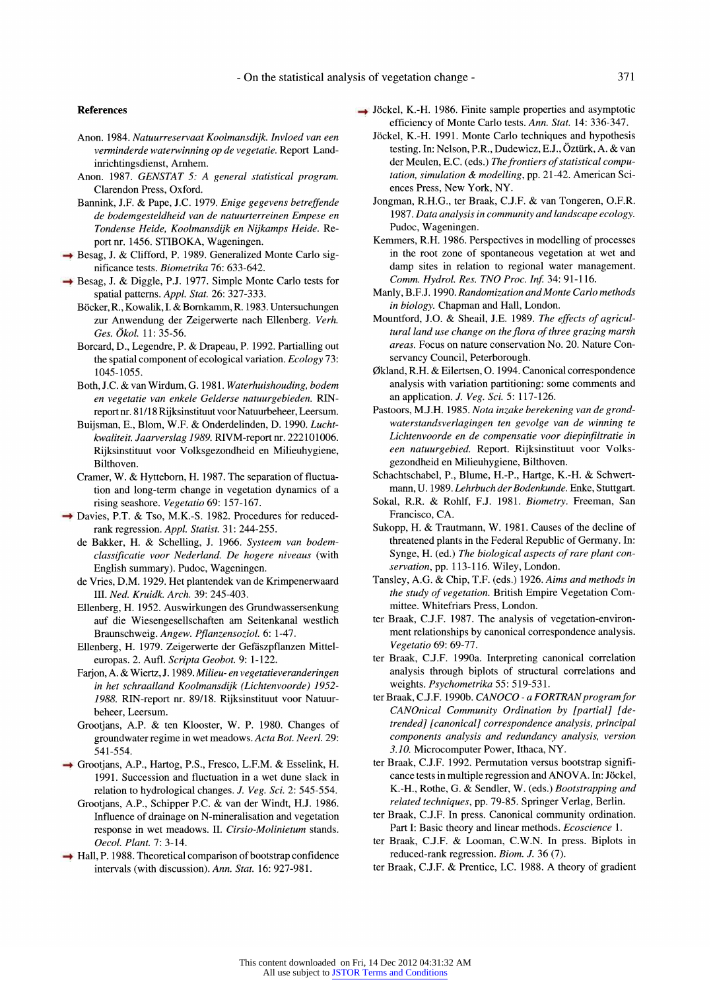#### **References**

- **Anon. 1984. Natuurreservaat Koolmansdijk. Invloed van een verminderde waterwinning op de vegetatie. Report Landinrichtingsdienst, Arnhem.**
- **Anon. 1987. GENSTAT 5: A general statistical program. Clarendon Press, Oxford.**
- **Bannink, J.F. & Pape, J.C. 1979. Enige gegevens betreffende de bodemgesteldheid van de natuurterreinen Empese en Tondense Heide, Koolmansdijk en Nijkamps Heide. Report nr. 1456. STIBOKA, Wageningen.**
- **→ Besag, J. & Clifford, P. 1989. Generalized Monte Carlo significance tests. Biometrika 76: 633-642.**
- **→ Besag, J. & Diggle, P.J. 1977. Simple Monte Carlo tests for spatial patterns. Appl. Stat. 26: 327-333.** 
	- **Bocker, R., Kowalik, I. & Bornkamm, R. 1983. Untersuchungen zur Anwendung der Zeigerwerte nach Ellenberg. Verh. Ges. Okol. 11: 35-56.**
	- **Borcard, D., Legendre, P. & Drapeau, P. 1992. Partialling out the spatial component of ecological variation. Ecology 73: 1045-1055.**
	- **Both, J.C. & van Wirdum, G. 1981. Waterhuishouding, bodem en vegetatie van enkele Gelderse natuurgebieden. RINreport nr. 81/18 Rijksinstituut voor Natuurbeheer, Leersum.**
	- **Buijsman, E., Blom, W.F. & Onderdelinden, D. 1990. Luchtkwaliteit. Jaarverslag 1989. RIVM-report nr. 222101006. Rijksinstituut voor Volksgezondheid en Milieuhygiene, Bilthoven.**
	- **Cramer, W. & Hyttebom, H. 1987. The separation of fluctuation and long-term change in vegetation dynamics of a rising seashore. Vegetatio 69: 157-167.**
- → Davies, P.T. & Tso, M.K.-S. 1982. Procedures for reduced**rank regression. Appl. Statist. 31: 244-255.** 
	- **de Bakker, H. & Schelling, J. 1966. Systeem van bodemclassificatie voor Nederland. De hogere niveaus (with English summary). Pudoc, Wageningen.**
	- **de Vries, D.M. 1929. Het plantendek van de Krimpenerwaard III. Ned. Kruidk. Arch. 39: 245-403.**
	- **Ellenberg, H. 1952. Auswirkungen des Grundwassersenkung auf die Wiesengesellschaften am Seitenkanal westlich Braunschweig. Angew. Pflanzensoziol. 6: 1-47.**
	- **Ellenberg, H. 1979. Zeigerwerte der Gefaszpflanzen Mitteleuropas. 2. Aufl. Scripta Geobot. 9: 1-122.**
	- **Farjon, A. & Wiertz, J. 1989. Milieu- en vegetatieveranderingen in het schraalland Koolmansdijk (Lichtenvoorde) 1952- 1988. RIN-report nr. 89/18. Rijksinstituut voor Natuurbeheer, Leersum.**
	- **Grootjans, A.P. & ten Klooster, W. P. 1980. Changes of groundwater regime in wet meadows. Acta Bot. Neerl. 29: 541-554.**
- **Grootjans, A.P., Hartog, P.S., Fresco, L.F.M. & Esselink, H. 1991. Succession and fluctuation in a wet dune slack in relation to hydrological changes. J. Veg. Sci. 2: 545-554.** 
	- **Grootjans, A.P., Schipper P.C. & van der Windt, H.J. 1986. Influence of drainage on N-mineralisation and vegetation response in wet meadows. II. Cirsio-Molinietum stands. Oecol. Plant. 7: 3-14.**
- $\rightarrow$  Hall, P. 1988. Theoretical comparison of bootstrap confidence **intervals (with discussion). Ann. Stat. 16: 927-981.**
- **Jockel, K.-H. 1986. Finite sample properties and asymptotic efficiency of Monte Carlo tests. Ann. Stat. 14: 336-347.** 
	- **Jockel, K.-H. 1991. Monte Carlo techniques and hypothesis testing. In: Nelson, P.R., Dudewicz, E.J., Oztiirk, A. & van der Meulen, E.C. (eds.) The frontiers of statistical computation, simulation & modelling, pp. 21-42. American Sciences Press, New York, NY.**
	- **Jongman, R.H.G., ter Braak, C.J.F. & van Tongeren, O.F.R. 1987. Data analysis in community and landscape ecology. Pudoc, Wageningen.**
	- **Kemmers, R.H. 1986. Perspectives in modelling of processes in the root zone of spontaneous vegetation at wet and damp sites in relation to regional water management. Comm. Hydrol. Res. TNO Proc. Inf. 34: 91-116.**
	- **Manly, B.F.J. 1990. Randomization and Monte Carlo methods in biology. Chapman and Hall, London.**
	- **Mountford, J.O. & Sheail, J.E. 1989. The effects of agricultural land use change on the flora of three grazing marsh areas. Focus on nature conservation No. 20. Nature Conservancy Council, Peterborough.**
	- **0kland, R.H. & Eilertsen, 0. 1994. Canonical correspondence analysis with variation partitioning: some comments and an application. J. Veg. Sci. 5: 117-126.**
	- **Pastoors, M.J.H. 1985. Nota inzake berekening van de grondwaterstandsverlagingen ten gevolge van de winning te Lichtenvoorde en de compensatie voor diepinfiltratie in een natuurgebied. Report. Rijksinstituut voor Volksgezondheid en Milieuhygiene, Bilthoven.**
	- **Schachtschabel, P., Blume, H.-P., Hartge, K.-H. & Schwert**mann, U. 1989. Lehrbuch der Bodenkunde. Enke, Stuttgart.
	- **Sokal, R.R. & Rohlf, F.J. 1981. Biometry. Freeman, San Francisco, CA.**
	- **Sukopp, H. & Trautmann, W. 1981. Causes of the decline of threatened plants in the Federal Republic of Germany. In: Synge, H. (ed.) The biological aspects of rare plant conservation, pp. 113-116. Wiley, London.**
	- **Tansley, A.G. & Chip, T.F. (eds.) 1926. Aims and methods in the study of vegetation. British Empire Vegetation Committee. Whitefriars Press, London.**
	- **ter Braak, C.J.F. 1987. The analysis of vegetation-environment relationships by canonical correspondence analysis. Vegetatio 69: 69-77.**
	- **ter Braak, C.J.F. 1990a. Interpreting canonical correlation analysis through biplots of structural correlations and weights. Psychometrika 55: 519-531.**
	- ter Braak, C.J.F. 1990b. CANOCO a FORTRAN program for **CANOnical Community Ordination by [partial] [detrended] [canonical] correspondence analysis, principal components analysis and redundancy analysis, version 3.10. Microcomputer Power, Ithaca, NY.**
	- **ter Braak, C.J.F. 1992. Permutation versus bootstrap significance tests in multiple regression and ANOVA. In: Jockel, K.-H., Rothe, G. & Sendler, W. (eds.) Bootstrapping and related techniques, pp. 79-85. Springer Verlag, Berlin.**
	- **ter Braak, C.J.F. In press. Canonical community ordination.**  Part I: Basic theory and linear methods. *Ecoscience* 1.
	- **ter Braak, C.J.F. & Looman, C.W.N. In press. Biplots in reduced-rank regression. Biom. J. 36 (7).**
	- **ter Braak, C.J.F. & Prentice, I.C. 1988. A theory of gradient**